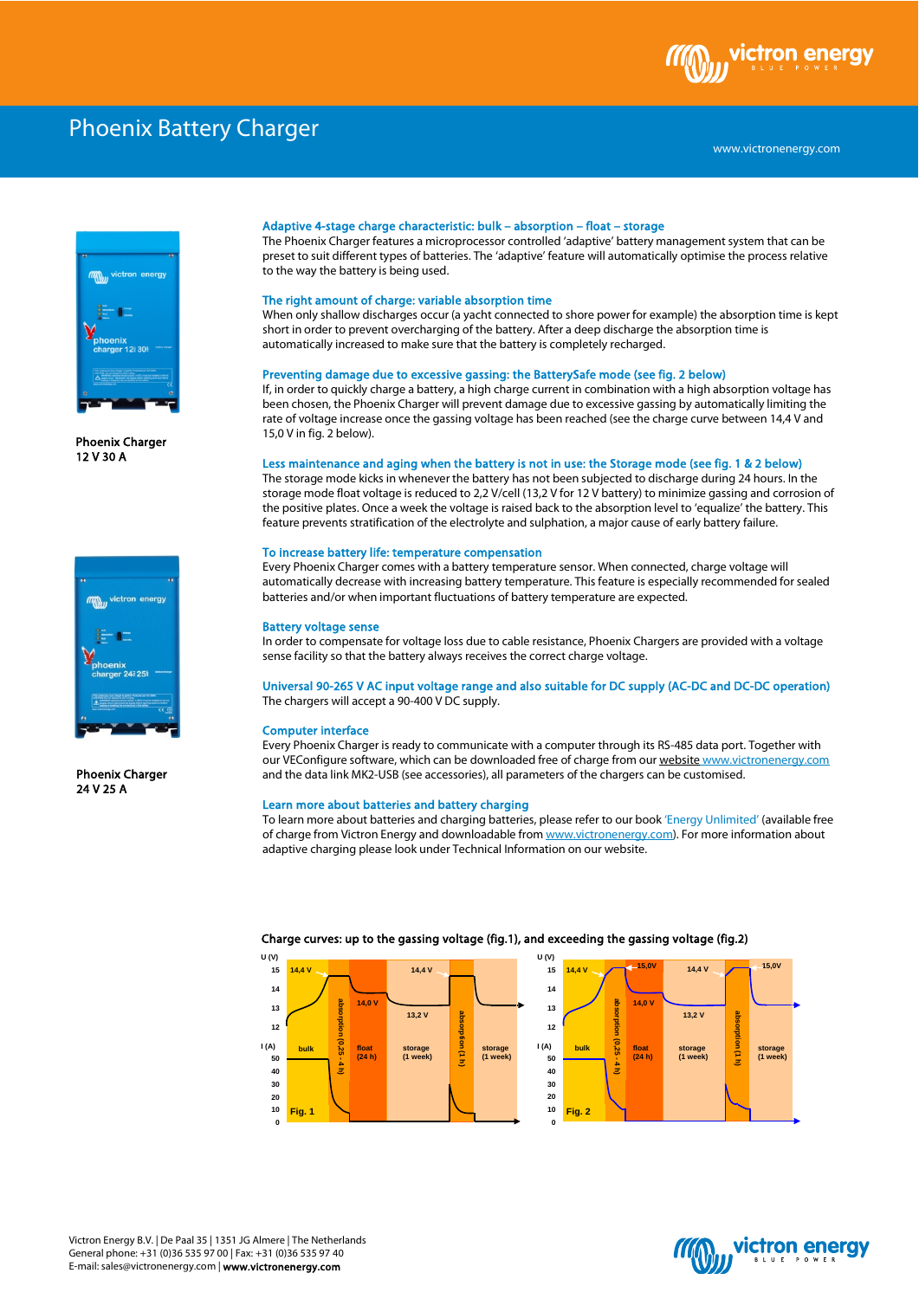

# Phoenix Battery Charger



Phoenix Charger 12 V 30 A



Phoenix Charger 24 V 25 A

### Adaptive 4-stage charge characteristic: bulk – absorption – float – storage

The Phoenix Charger features a microprocessor controlled 'adaptive' battery management system that can be preset to suit different types of batteries. The 'adaptive' feature will automatically optimise the process relative to the way the battery is being used.

#### The right amount of charge: variable absorption time

When only shallow discharges occur (a yacht connected to shore power for example) the absorption time is kept short in order to prevent overcharging of the battery. After a deep discharge the absorption time is automatically increased to make sure that the battery is completely recharged.

#### Preventing damage due to excessive gassing: the BatterySafe mode (see fig. 2 below)

If, in order to quickly charge a battery, a high charge current in combination with a high absorption voltage has been chosen, the Phoenix Charger will prevent damage due to excessive gassing by automatically limiting the rate of voltage increase once the gassing voltage has been reached (see the charge curve between 14,4 V and 15,0 V in fig. 2 below).

## Less maintenance and aging when the battery is not in use: the Storage mode (see fig. 1 & 2 below)

The storage mode kicks in whenever the battery has not been subjected to discharge during 24 hours. In the storage mode float voltage is reduced to 2,2 V/cell (13,2 V for 12 V battery) to minimize gassing and corrosion of the positive plates. Once a week the voltage is raised back to the absorption level to 'equalize' the battery. This feature prevents stratification of the electrolyte and sulphation, a major cause of early battery failure.

#### To increase battery life: temperature compensation

Every Phoenix Charger comes with a battery temperature sensor. When connected, charge voltage will automatically decrease with increasing battery temperature. This feature is especially recommended for sealed batteries and/or when important fluctuations of battery temperature are expected.

#### Battery voltage sense

In order to compensate for voltage loss due to cable resistance, Phoenix Chargers are provided with a voltage sense facility so that the battery always receives the correct charge voltage.

## Universal 90-265 V AC input voltage range and also suitable for DC supply (AC-DC and DC-DC operation) The chargers will accept a 90-400 V DC supply.

#### Computer interface

Every Phoenix Charger is ready to communicate with a computer through its RS-485 data port. Together with our VEConfigure software, which can be downloaded free of charge from our website www.victronenergy.com and the data link MK2-USB (see accessories), all parameters of the chargers can be customised.

### Learn more about batteries and battery charging

To learn more about batteries and charging batteries, please refer to our book 'Energy Unlimited' (available free of charge from Victron Energy and downloadable from www.victronenergy.com). For more information about adaptive charging please look under Technical Information on our website.



#### Charge curves: up to the gassing voltage (fig.1), and exceeding the gassing voltage (fig.2)